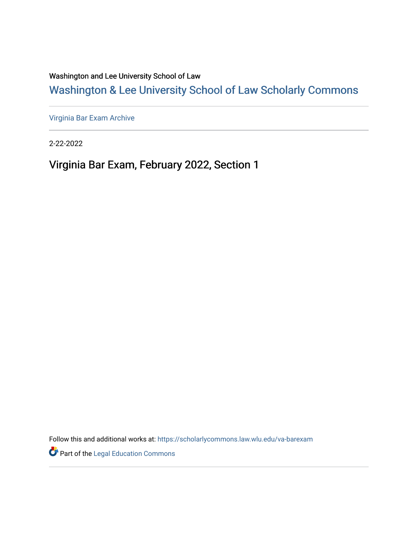Washington and Lee University School of Law

# [Washington & Lee University School of Law Scholarly Commons](https://scholarlycommons.law.wlu.edu/)

[Virginia Bar Exam Archive](https://scholarlycommons.law.wlu.edu/va-barexam)

2-22-2022

Virginia Bar Exam, February 2022, Section 1

Follow this and additional works at: [https://scholarlycommons.law.wlu.edu/va-barexam](https://scholarlycommons.law.wlu.edu/va-barexam?utm_source=scholarlycommons.law.wlu.edu%2Fva-barexam%2F211&utm_medium=PDF&utm_campaign=PDFCoverPages) 

**Part of the Legal Education Commons**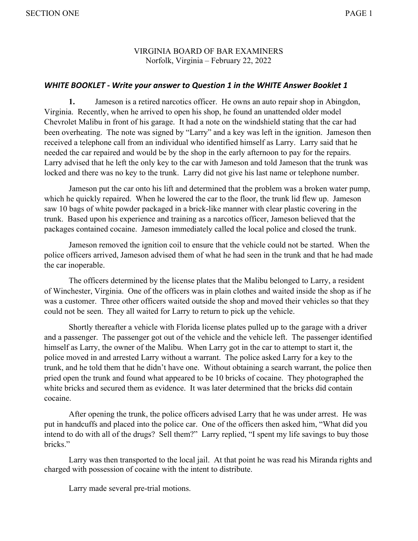VIRGINIA BOARD OF BAR EXAMINERS Norfolk, Virginia – February 22, 2022

## *WHITE BOOKLET - Write your answer to Question 1 in the WHITE Answer Booklet 1*

**1.** Jameson is a retired narcotics officer. He owns an auto repair shop in Abingdon, Virginia. Recently, when he arrived to open his shop, he found an unattended older model Chevrolet Malibu in front of his garage. It had a note on the windshield stating that the car had been overheating. The note was signed by "Larry" and a key was left in the ignition. Jameson then received a telephone call from an individual who identified himself as Larry. Larry said that he needed the car repaired and would be by the shop in the early afternoon to pay for the repairs. Larry advised that he left the only key to the car with Jameson and told Jameson that the trunk was locked and there was no key to the trunk. Larry did not give his last name or telephone number.

Jameson put the car onto his lift and determined that the problem was a broken water pump, which he quickly repaired. When he lowered the car to the floor, the trunk lid flew up. Jameson saw 10 bags of white powder packaged in a brick-like manner with clear plastic covering in the trunk. Based upon his experience and training as a narcotics officer, Jameson believed that the packages contained cocaine. Jameson immediately called the local police and closed the trunk.

Jameson removed the ignition coil to ensure that the vehicle could not be started. When the police officers arrived, Jameson advised them of what he had seen in the trunk and that he had made the car inoperable.

The officers determined by the license plates that the Malibu belonged to Larry, a resident of Winchester, Virginia. One of the officers was in plain clothes and waited inside the shop as if he was a customer. Three other officers waited outside the shop and moved their vehicles so that they could not be seen. They all waited for Larry to return to pick up the vehicle.

Shortly thereafter a vehicle with Florida license plates pulled up to the garage with a driver and a passenger. The passenger got out of the vehicle and the vehicle left. The passenger identified himself as Larry, the owner of the Malibu. When Larry got in the car to attempt to start it, the police moved in and arrested Larry without a warrant. The police asked Larry for a key to the trunk, and he told them that he didn't have one. Without obtaining a search warrant, the police then pried open the trunk and found what appeared to be 10 bricks of cocaine. They photographed the white bricks and secured them as evidence. It was later determined that the bricks did contain cocaine.

After opening the trunk, the police officers advised Larry that he was under arrest. He was put in handcuffs and placed into the police car. One of the officers then asked him, "What did you intend to do with all of the drugs? Sell them?" Larry replied, "I spent my life savings to buy those bricks."

Larry was then transported to the local jail. At that point he was read his Miranda rights and charged with possession of cocaine with the intent to distribute.

Larry made several pre-trial motions.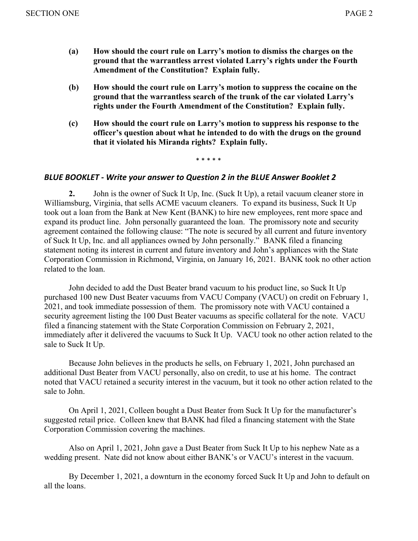- **(a) How should the court rule on Larry's motion to dismiss the charges on the ground that the warrantless arrest violated Larry's rights under the Fourth Amendment of the Constitution? Explain fully.**
- **(b) How should the court rule on Larry's motion to suppress the cocaine on the ground that the warrantless search of the trunk of the car violated Larry's rights under the Fourth Amendment of the Constitution? Explain fully.**
- **(c) How should the court rule on Larry's motion to suppress his response to the officer's question about what he intended to do with the drugs on the ground that it violated his Miranda rights? Explain fully.**

\* \* \* \* \*

## *BLUE BOOKLET - Write your answer to Question 2 in the BLUE Answer Booklet 2*

**2.** John is the owner of Suck It Up, Inc. (Suck It Up), a retail vacuum cleaner store in Williamsburg, Virginia, that sells ACME vacuum cleaners. To expand its business, Suck It Up took out a loan from the Bank at New Kent (BANK) to hire new employees, rent more space and expand its product line. John personally guaranteed the loan. The promissory note and security agreement contained the following clause: "The note is secured by all current and future inventory of Suck It Up, Inc. and all appliances owned by John personally." BANK filed a financing statement noting its interest in current and future inventory and John's appliances with the State Corporation Commission in Richmond, Virginia, on January 16, 2021. BANK took no other action related to the loan.

John decided to add the Dust Beater brand vacuum to his product line, so Suck It Up purchased 100 new Dust Beater vacuums from VACU Company (VACU) on credit on February 1, 2021, and took immediate possession of them. The promissory note with VACU contained a security agreement listing the 100 Dust Beater vacuums as specific collateral for the note. VACU filed a financing statement with the State Corporation Commission on February 2, 2021, immediately after it delivered the vacuums to Suck It Up. VACU took no other action related to the sale to Suck It Up.

Because John believes in the products he sells, on February 1, 2021, John purchased an additional Dust Beater from VACU personally, also on credit, to use at his home. The contract noted that VACU retained a security interest in the vacuum, but it took no other action related to the sale to John.

On April 1, 2021, Colleen bought a Dust Beater from Suck It Up for the manufacturer's suggested retail price. Colleen knew that BANK had filed a financing statement with the State Corporation Commission covering the machines.

Also on April 1, 2021, John gave a Dust Beater from Suck It Up to his nephew Nate as a wedding present. Nate did not know about either BANK's or VACU's interest in the vacuum.

By December 1, 2021, a downturn in the economy forced Suck It Up and John to default on all the loans.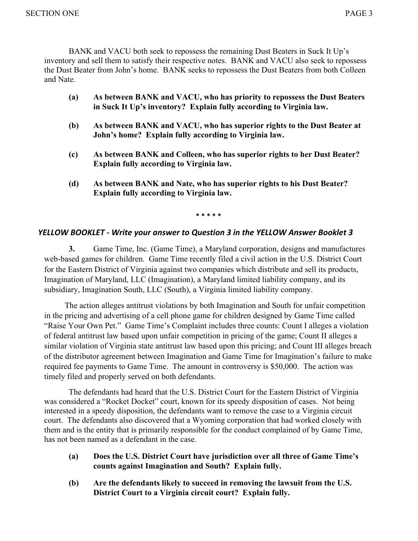BANK and VACU both seek to repossess the remaining Dust Beaters in Suck It Up's inventory and sell them to satisfy their respective notes. BANK and VACU also seek to repossess the Dust Beater from John's home. BANK seeks to repossess the Dust Beaters from both Colleen and Nate.

- **(a) As between BANK and VACU, who has priority to repossess the Dust Beaters in Suck It Up's inventory? Explain fully according to Virginia law.**
- **(b) As between BANK and VACU, who has superior rights to the Dust Beater at John's home? Explain fully according to Virginia law.**
- **(c) As between BANK and Colleen, who has superior rights to her Dust Beater? Explain fully according to Virginia law.**
- **(d) As between BANK and Nate, who has superior rights to his Dust Beater? Explain fully according to Virginia law.**

**\* \* \* \* \***

# *YELLOW BOOKLET - Write your answer to Question 3 in the YELLOW Answer Booklet 3*

**3.** Game Time, Inc. (Game Time), a Maryland corporation, designs and manufactures web-based games for children. Game Time recently filed a civil action in the U.S. District Court for the Eastern District of Virginia against two companies which distribute and sell its products, Imagination of Maryland, LLC (Imagination), a Maryland limited liability company, and its subsidiary, Imagination South, LLC (South), a Virginia limited liability company.

 The action alleges antitrust violations by both Imagination and South for unfair competition in the pricing and advertising of a cell phone game for children designed by Game Time called "Raise Your Own Pet." Game Time's Complaint includes three counts: Count I alleges a violation of federal antitrust law based upon unfair competition in pricing of the game; Count II alleges a similar violation of Virginia state antitrust law based upon this pricing; and Count III alleges breach of the distributor agreement between Imagination and Game Time for Imagination's failure to make required fee payments to Game Time. The amount in controversy is \$50,000. The action was timely filed and properly served on both defendants.

The defendants had heard that the U.S. District Court for the Eastern District of Virginia was considered a "Rocket Docket" court, known for its speedy disposition of cases. Not being interested in a speedy disposition, the defendants want to remove the case to a Virginia circuit court. The defendants also discovered that a Wyoming corporation that had worked closely with them and is the entity that is primarily responsible for the conduct complained of by Game Time, has not been named as a defendant in the case.

- **(a) Does the U.S. District Court have jurisdiction over all three of Game Time's counts against Imagination and South? Explain fully.**
- **(b) Are the defendants likely to succeed in removing the lawsuit from the U.S. District Court to a Virginia circuit court? Explain fully.**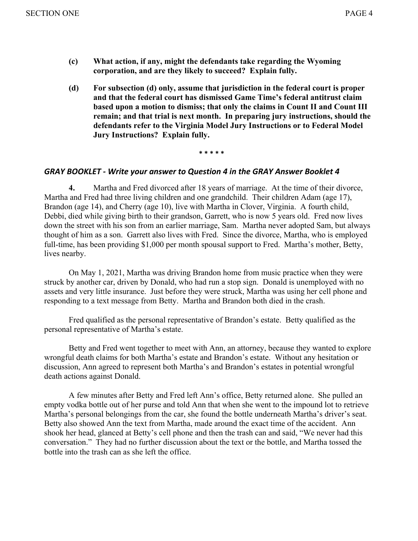- **(c) What action, if any, might the defendants take regarding the Wyoming corporation, and are they likely to succeed? Explain fully.**
- **(d) For subsection (d) only, assume that jurisdiction in the federal court is proper and that the federal court has dismissed Game Time's federal antitrust claim based upon a motion to dismiss; that only the claims in Count II and Count III remain; and that trial is next month. In preparing jury instructions, should the defendants refer to the Virginia Model Jury Instructions or to Federal Model Jury Instructions? Explain fully.**

**\* \* \* \* \***

## *GRAY BOOKLET - Write your answer to Question 4 in the GRAY Answer Booklet 4*

**4.** Martha and Fred divorced after 18 years of marriage. At the time of their divorce, Martha and Fred had three living children and one grandchild. Their children Adam (age 17), Brandon (age 14), and Cherry (age 10), live with Martha in Clover, Virginia. A fourth child, Debbi, died while giving birth to their grandson, Garrett, who is now 5 years old. Fred now lives down the street with his son from an earlier marriage, Sam. Martha never adopted Sam, but always thought of him as a son. Garrett also lives with Fred. Since the divorce, Martha, who is employed full-time, has been providing \$1,000 per month spousal support to Fred. Martha's mother, Betty, lives nearby.

On May 1, 2021, Martha was driving Brandon home from music practice when they were struck by another car, driven by Donald, who had run a stop sign. Donald is unemployed with no assets and very little insurance. Just before they were struck, Martha was using her cell phone and responding to a text message from Betty. Martha and Brandon both died in the crash.

Fred qualified as the personal representative of Brandon's estate. Betty qualified as the personal representative of Martha's estate.

Betty and Fred went together to meet with Ann, an attorney, because they wanted to explore wrongful death claims for both Martha's estate and Brandon's estate. Without any hesitation or discussion, Ann agreed to represent both Martha's and Brandon's estates in potential wrongful death actions against Donald.

A few minutes after Betty and Fred left Ann's office, Betty returned alone. She pulled an empty vodka bottle out of her purse and told Ann that when she went to the impound lot to retrieve Martha's personal belongings from the car, she found the bottle underneath Martha's driver's seat. Betty also showed Ann the text from Martha, made around the exact time of the accident. Ann shook her head, glanced at Betty's cell phone and then the trash can and said, "We never had this conversation." They had no further discussion about the text or the bottle, and Martha tossed the bottle into the trash can as she left the office.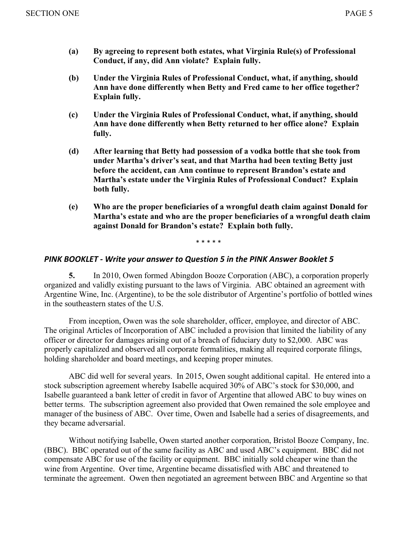- **(a) By agreeing to represent both estates, what Virginia Rule(s) of Professional Conduct, if any, did Ann violate? Explain fully.**
- **(b) Under the Virginia Rules of Professional Conduct, what, if anything, should Ann have done differently when Betty and Fred came to her office together? Explain fully.**
- **(c) Under the Virginia Rules of Professional Conduct, what, if anything, should Ann have done differently when Betty returned to her office alone? Explain fully.**
- **(d) After learning that Betty had possession of a vodka bottle that she took from under Martha's driver's seat, and that Martha had been texting Betty just before the accident, can Ann continue to represent Brandon's estate and Martha's estate under the Virginia Rules of Professional Conduct? Explain both fully.**
- **(e) Who are the proper beneficiaries of a wrongful death claim against Donald for Martha's estate and who are the proper beneficiaries of a wrongful death claim against Donald for Brandon's estate? Explain both fully.**

\* \* \* \* \*

# *PINK BOOKLET - Write your answer to Question 5 in the PINK Answer Booklet 5*

**5.** In 2010, Owen formed Abingdon Booze Corporation (ABC), a corporation properly organized and validly existing pursuant to the laws of Virginia. ABC obtained an agreement with Argentine Wine, Inc. (Argentine), to be the sole distributor of Argentine's portfolio of bottled wines in the southeastern states of the U.S.

From inception, Owen was the sole shareholder, officer, employee, and director of ABC. The original Articles of Incorporation of ABC included a provision that limited the liability of any officer or director for damages arising out of a breach of fiduciary duty to \$2,000. ABC was properly capitalized and observed all corporate formalities, making all required corporate filings, holding shareholder and board meetings, and keeping proper minutes.

ABC did well for several years. In 2015, Owen sought additional capital. He entered into a stock subscription agreement whereby Isabelle acquired 30% of ABC's stock for \$30,000, and Isabelle guaranteed a bank letter of credit in favor of Argentine that allowed ABC to buy wines on better terms. The subscription agreement also provided that Owen remained the sole employee and manager of the business of ABC. Over time, Owen and Isabelle had a series of disagreements, and they became adversarial.

Without notifying Isabelle, Owen started another corporation, Bristol Booze Company, Inc. (BBC). BBC operated out of the same facility as ABC and used ABC's equipment. BBC did not compensate ABC for use of the facility or equipment. BBC initially sold cheaper wine than the wine from Argentine. Over time, Argentine became dissatisfied with ABC and threatened to terminate the agreement. Owen then negotiated an agreement between BBC and Argentine so that